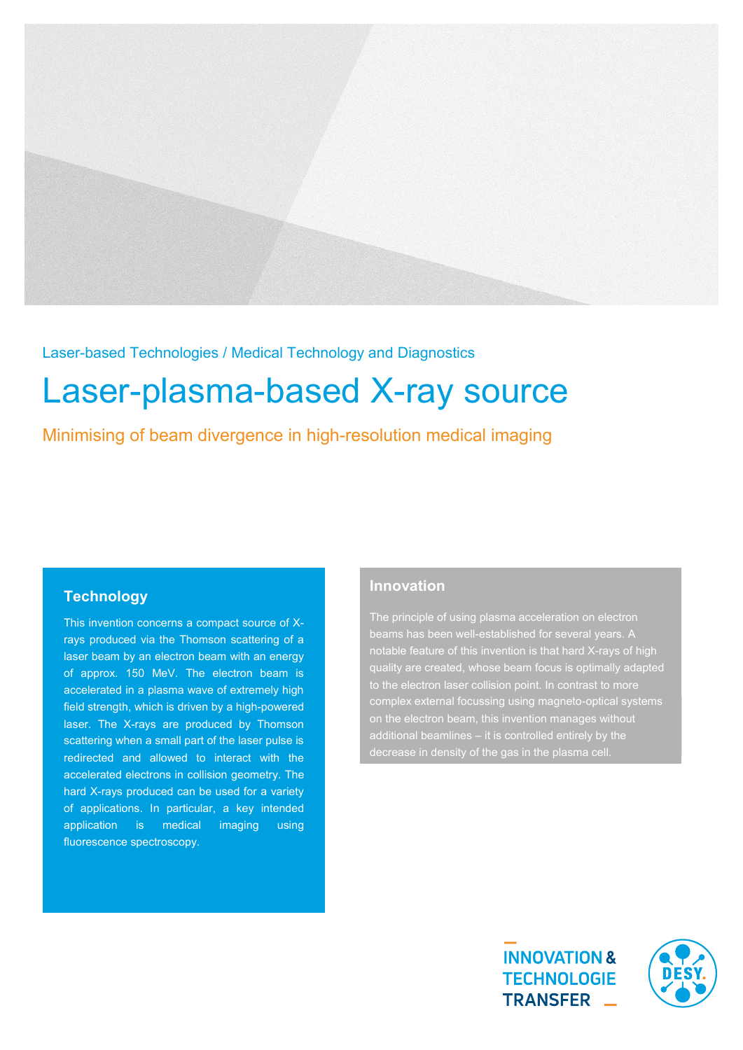

Laser-based Technologies / Medical Technology and Diagnostics

# Laser-plasma-based X-ray source

Minimising of beam divergence in high-resolution medical imaging

## **Technology**

This invention concerns a compact source of Xrays produced via the Thomson scattering of a laser beam by an electron beam with an energy of approx. 150 MeV. The electron beam is accelerated in a plasma wave of extremely high field strength, which is driven by a high-powered laser. The X-rays are produced by Thomson scattering when a small part of the laser pulse is redirected and allowed to interact with the accelerated electrons in collision geometry. The hard X-rays produced can be used for a variety of applications. In particular, a key intended application is medical imaging using fluorescence spectroscopy.

## **Innovation**

The principle of using plasma acceleration on electron notable feature of this invention is that hard X-rays of high quality are created, whose beam focus is optimally adapted complex external focussing using magneto-optical systems on the electron beam, this invention manages without decrease in density of the gas in the plasma cell.



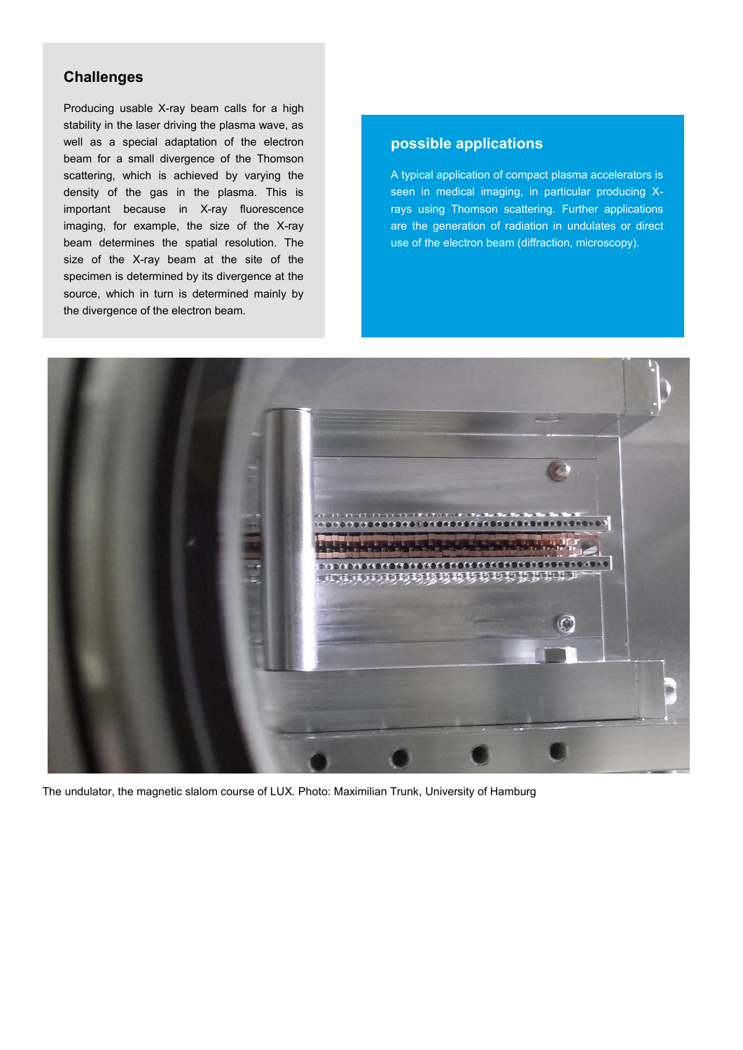### **Challenges**

Producing usable X-ray beam calls for a high stability in the laser driving the plasma wave, as well as a special adaptation of the electron beam for a small divergence of the Thomson scattering, which is achieved by varying the density of the gas in the plasma. This is important because in X-ray fluorescence imaging, for example, the size of the X-ray beam determines the spatial resolution. The size of the X-ray beam at the site of the specimen is determined by its divergence at the source, which in turn is determined mainly by the divergence of the electron beam.

#### **possible applications**

A typical application of compact plasma accelerators is seen in medical imaging, in particular producing Xrays using Thomson scattering. Further applications are the generation of radiation in undulates or direct use of the electron beam (diffraction, microscopy).



The undulator, the magnetic slalom course of LUX. Photo: Maximilian Trunk, University of Hamburg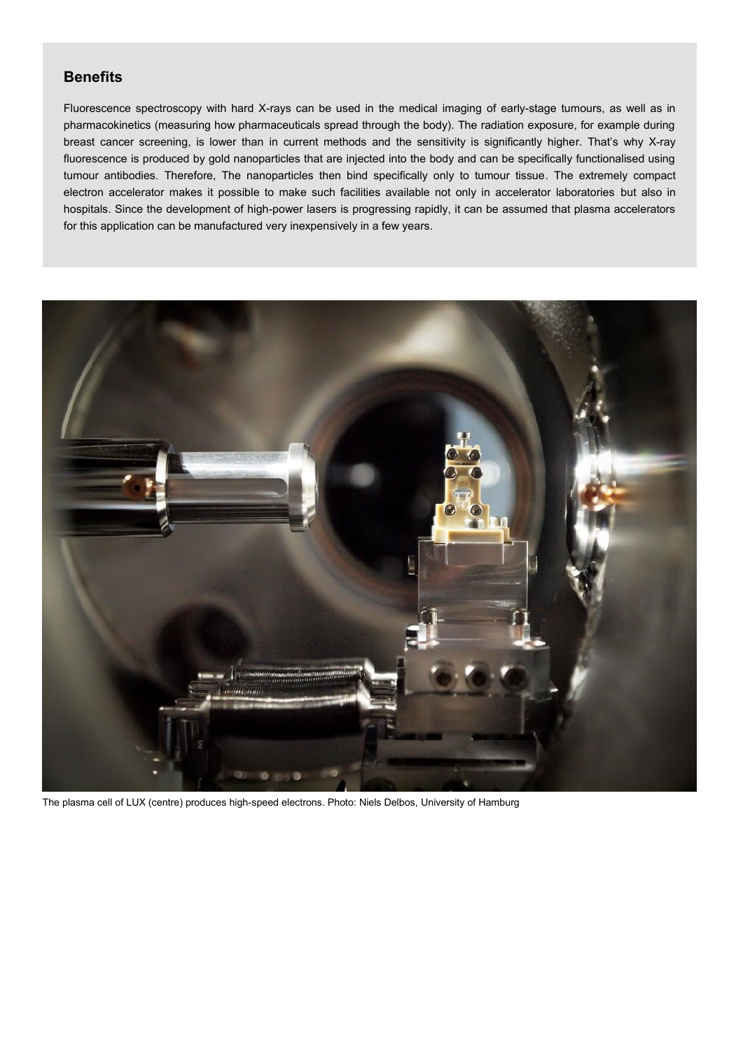### **Benefits**

Fluorescence spectroscopy with hard X-rays can be used in the medical imaging of early-stage tumours, as well as in pharmacokinetics (measuring how pharmaceuticals spread through the body). The radiation exposure, for example during breast cancer screening, is lower than in current methods and the sensitivity is significantly higher. That's why X-ray fluorescence is produced by gold nanoparticles that are injected into the body and can be specifically functionalised using tumour antibodies. Therefore, The nanoparticles then bind specifically only to tumour tissue. The extremely compact electron accelerator makes it possible to make such facilities available not only in accelerator laboratories but also in hospitals. Since the development of high-power lasers is progressing rapidly, it can be assumed that plasma accelerators for this application can be manufactured very inexpensively in a few years.



The plasma cell of LUX (centre) produces high-speed electrons. Photo: Niels Delbos, University of Hamburg